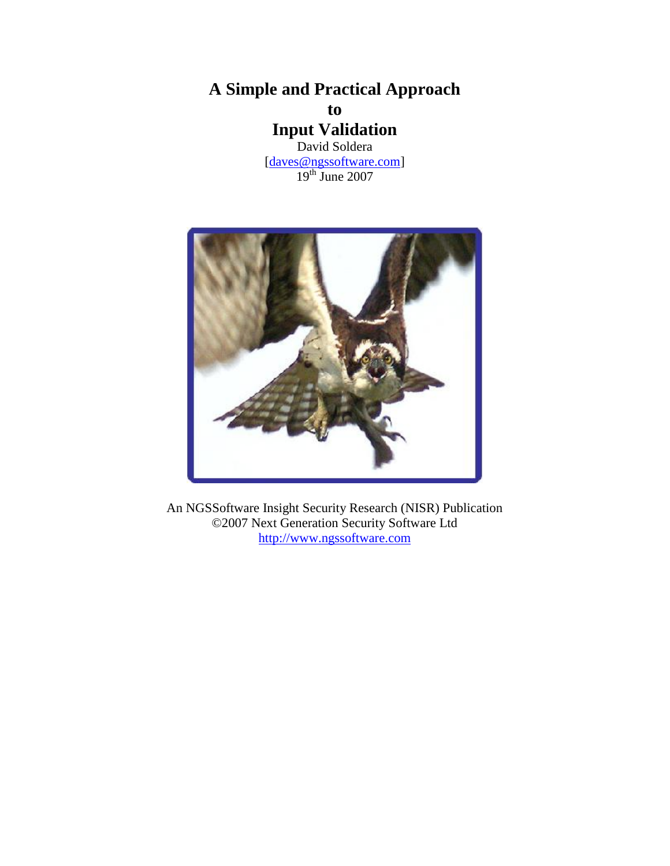**A Simple and Practical Approach to Input Validation** David Soldera [\[daves@ngssoftware.com\]](mailto:daves@ngssoftware.com)

19th June 2007



An NGSSoftware Insight Security Research (NISR) Publication ©2007 Next Generation Security Software Ltd [http://www.ngssoftware.com](http://www.ngssoftware.com/)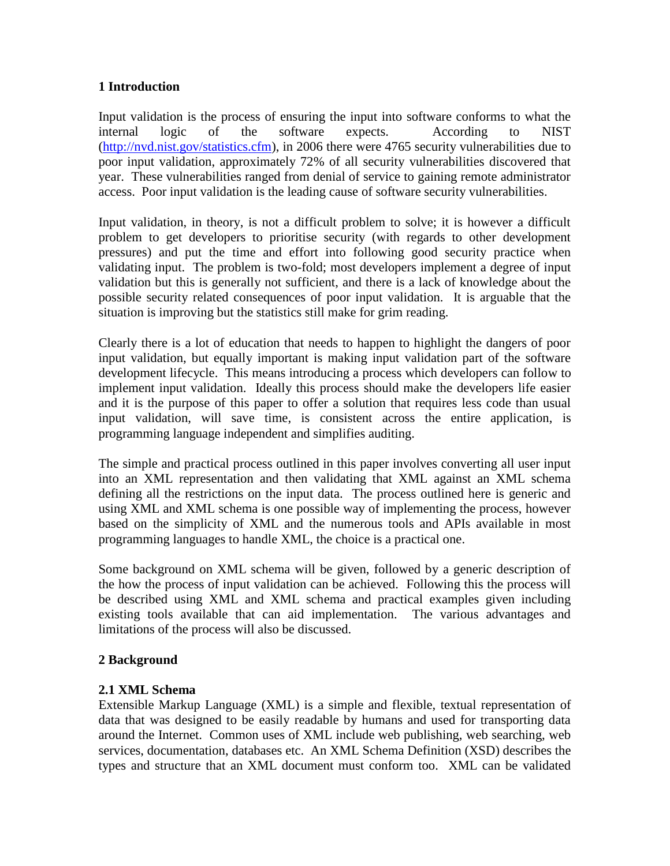# **1 Introduction**

Input validation is the process of ensuring the input into software conforms to what the internal logic of the software expects. According to NIST [\(http://nvd.nist.gov/statistics.cfm\)](http://nvd.nist.gov/statistics.cfm), in 2006 there were 4765 security vulnerabilities due to poor input validation, approximately 72% of all security vulnerabilities discovered that year. These vulnerabilities ranged from denial of service to gaining remote administrator access. Poor input validation is the leading cause of software security vulnerabilities.

Input validation, in theory, is not a difficult problem to solve; it is however a difficult problem to get developers to prioritise security (with regards to other development pressures) and put the time and effort into following good security practice when validating input. The problem is two-fold; most developers implement a degree of input validation but this is generally not sufficient, and there is a lack of knowledge about the possible security related consequences of poor input validation. It is arguable that the situation is improving but the statistics still make for grim reading.

Clearly there is a lot of education that needs to happen to highlight the dangers of poor input validation, but equally important is making input validation part of the software development lifecycle. This means introducing a process which developers can follow to implement input validation. Ideally this process should make the developers life easier and it is the purpose of this paper to offer a solution that requires less code than usual input validation, will save time, is consistent across the entire application, is programming language independent and simplifies auditing.

The simple and practical process outlined in this paper involves converting all user input into an XML representation and then validating that XML against an XML schema defining all the restrictions on the input data. The process outlined here is generic and using XML and XML schema is one possible way of implementing the process, however based on the simplicity of XML and the numerous tools and APIs available in most programming languages to handle XML, the choice is a practical one.

Some background on XML schema will be given, followed by a generic description of the how the process of input validation can be achieved. Following this the process will be described using XML and XML schema and practical examples given including existing tools available that can aid implementation. The various advantages and limitations of the process will also be discussed.

### **2 Background**

### **2.1 XML Schema**

Extensible Markup Language (XML) is a simple and flexible, textual representation of data that was designed to be easily readable by humans and used for transporting data around the Internet. Common uses of XML include web publishing, web searching, web services, documentation, databases etc. An XML Schema Definition (XSD) describes the types and structure that an XML document must conform too. XML can be validated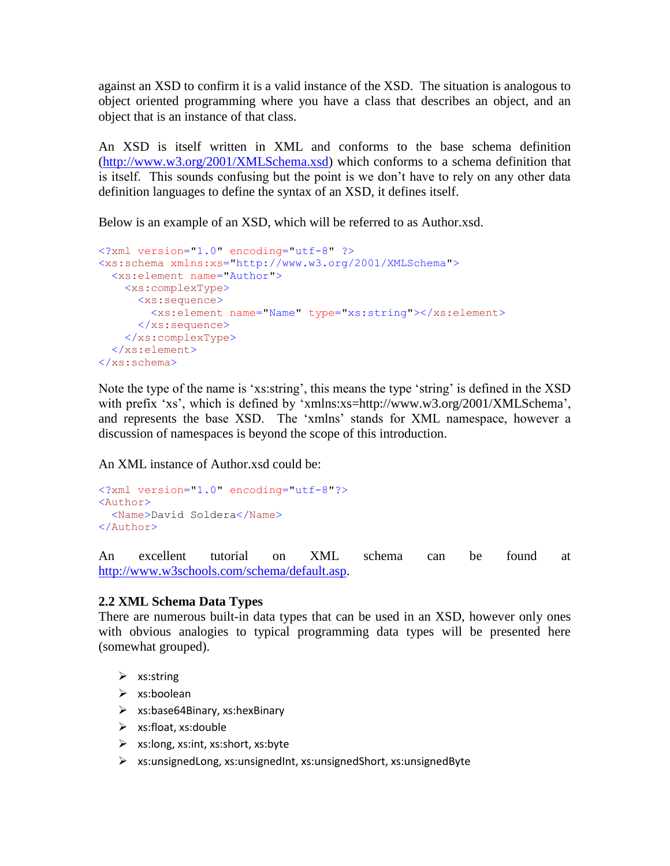against an XSD to confirm it is a valid instance of the XSD. The situation is analogous to object oriented programming where you have a class that describes an object, and an object that is an instance of that class.

An XSD is itself written in XML and conforms to the base schema definition [\(http://www.w3.org/2001/XMLSchema.xsd\)](http://www.w3.org/2001/XMLSchema.xsd) which conforms to a schema definition that is itself. This sounds confusing but the point is we don't have to rely on any other data definition languages to define the syntax of an XSD, it defines itself.

Below is an example of an XSD, which will be referred to as Author.xsd.

```
<?xml version="1.0" encoding="utf-8" ?> 
<xs:schema xmlns:xs="http://www.w3.org/2001/XMLSchema">
  <xs:element name="Author">
    <xs:complexType>
       <xs:sequence>
         <xs:element name="Name" type="xs:string"></xs:element>
       </xs:sequence>
     </xs:complexType>
   </xs:element>
</xs:schema>
```
Note the type of the name is 'xs:string', this means the type 'string' is defined in the XSD with prefix 'xs', which is defined by 'xmlns:xs=http://www.w3.org/2001/XMLSchema', and represents the base XSD. The 'xmlns' stands for XML namespace, however a discussion of namespaces is beyond the scope of this introduction.

An XML instance of Author.xsd could be:

```
<?xml version="1.0" encoding="utf-8"?>
<Author>
  <Name>David Soldera</Name>
</Author>
```
An excellent tutorial on XML schema can be found at [http://www.w3schools.com/schema/default.asp.](http://www.w3schools.com/schema/default.asp)

# **2.2 XML Schema Data Types**

There are numerous built-in data types that can be used in an XSD, however only ones with obvious analogies to typical programming data types will be presented here (somewhat grouped).

- $\triangleright$  xs:string
- $\triangleright$  xs:boolean
- $\triangleright$  xs:base64Binary, xs:hexBinary
- $\triangleright$  xs:float, xs:double
- $\triangleright$  xs:long, xs:int, xs:short, xs:byte
- $\triangleright$  xs:unsignedLong, xs:unsignedInt, xs:unsignedShort, xs:unsignedByte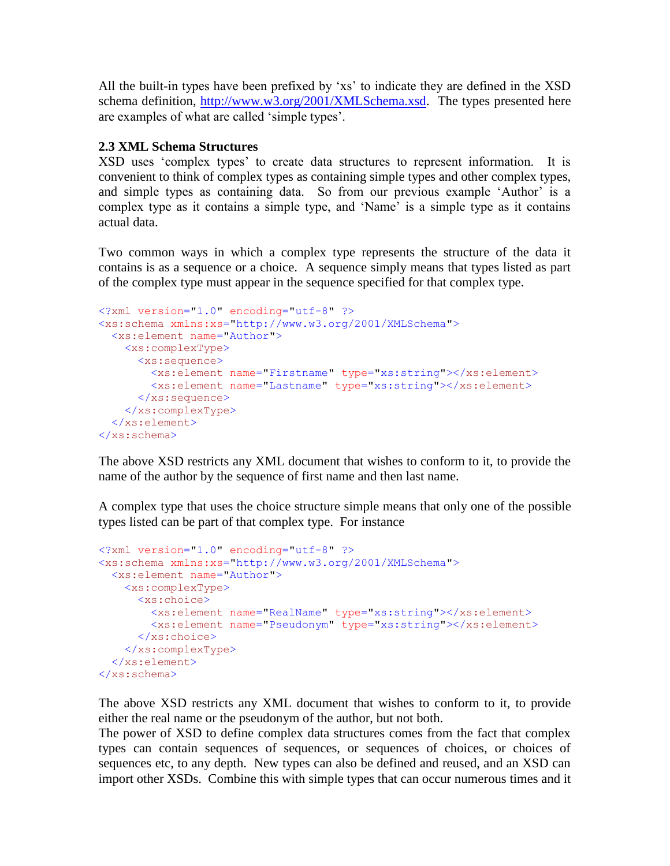All the built-in types have been prefixed by 'xs' to indicate they are defined in the XSD schema definition, [http://www.w3.org/2001/XMLSchema.xsd.](http://www.w3.org/2001/XMLSchema.xsd) The types presented here are examples of what are called 'simple types'.

# **2.3 XML Schema Structures**

XSD uses 'complex types' to create data structures to represent information. It is convenient to think of complex types as containing simple types and other complex types, and simple types as containing data. So from our previous example 'Author' is a complex type as it contains a simple type, and 'Name' is a simple type as it contains actual data.

Two common ways in which a complex type represents the structure of the data it contains is as a sequence or a choice. A sequence simply means that types listed as part of the complex type must appear in the sequence specified for that complex type.

```
<?xml version="1.0" encoding="utf-8" ?> 
<xs:schema xmlns:xs="http://www.w3.org/2001/XMLSchema">
  <xs:element name="Author">
    <xs:complexType>
      <xs:sequence>
        <xs:element name="Firstname" type="xs:string"></xs:element>
        <xs:element name="Lastname" type="xs:string"></xs:element>
      </xs:sequence>
    </xs:complexType>
  </xs:element>
</xs:schema>
```
The above XSD restricts any XML document that wishes to conform to it, to provide the name of the author by the sequence of first name and then last name.

A complex type that uses the choice structure simple means that only one of the possible types listed can be part of that complex type. For instance

```
<?xml version="1.0" encoding="utf-8" ?> 
<xs:schema xmlns:xs="http://www.w3.org/2001/XMLSchema">
  <xs:element name="Author">
    <xs:complexType>
      <xs:choice>
         <xs:element name="RealName" type="xs:string"></xs:element>
        <xs:element name="Pseudonym" type="xs:string"></xs:element>
      </xs:choice>
    </xs:complexType>
   </xs:element>
</xs:schema>
```
The above XSD restricts any XML document that wishes to conform to it, to provide either the real name or the pseudonym of the author, but not both.

The power of XSD to define complex data structures comes from the fact that complex types can contain sequences of sequences, or sequences of choices, or choices of sequences etc, to any depth. New types can also be defined and reused, and an XSD can import other XSDs. Combine this with simple types that can occur numerous times and it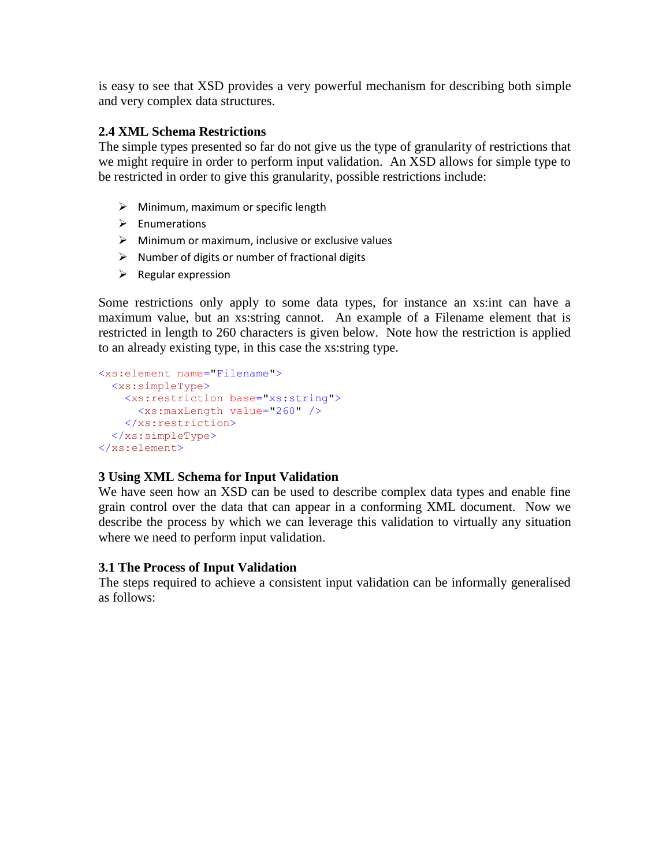is easy to see that XSD provides a very powerful mechanism for describing both simple and very complex data structures.

# **2.4 XML Schema Restrictions**

The simple types presented so far do not give us the type of granularity of restrictions that we might require in order to perform input validation. An XSD allows for simple type to be restricted in order to give this granularity, possible restrictions include:

- $\triangleright$  Minimum, maximum or specific length
- $\triangleright$  Enumerations
- $\triangleright$  Minimum or maximum, inclusive or exclusive values
- $\triangleright$  Number of digits or number of fractional digits
- $\triangleright$  Regular expression

Some restrictions only apply to some data types, for instance an xs:int can have a maximum value, but an xs:string cannot. An example of a Filename element that is restricted in length to 260 characters is given below. Note how the restriction is applied to an already existing type, in this case the xs:string type.

```
<xs:element name="Filename">
  <xs:simpleType>
    <xs:restriction base="xs:string">
      <xs:maxLength value="260" />
    </xs:restriction>
  </xs:simpleType>
</xs:element>
```
# **3 Using XML Schema for Input Validation**

We have seen how an XSD can be used to describe complex data types and enable fine grain control over the data that can appear in a conforming XML document. Now we describe the process by which we can leverage this validation to virtually any situation where we need to perform input validation.

# **3.1 The Process of Input Validation**

The steps required to achieve a consistent input validation can be informally generalised as follows: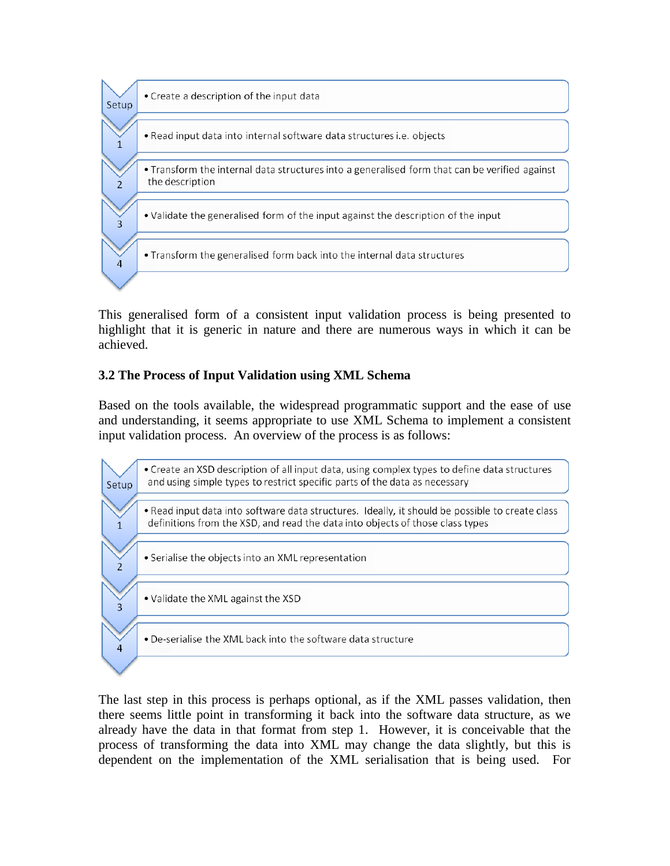

This generalised form of a consistent input validation process is being presented to highlight that it is generic in nature and there are numerous ways in which it can be achieved.

# **3.2 The Process of Input Validation using XML Schema**

Based on the tools available, the widespread programmatic support and the ease of use and understanding, it seems appropriate to use XML Schema to implement a consistent input validation process. An overview of the process is as follows:

• Create an XSD description of all input data, using complex types to define data structures and using simple types to restrict specific parts of the data as necessary Setup

. Read input data into software data structures. Ideally, it should be possible to create class definitions from the XSD, and read the data into objects of those class types

- Serialise the objects into an XML representation
- . Validate the XML against the XSD

 $\mathbf{1}$ 

 $\overline{2}$ 

 $\overline{3}$ 

 $\overline{4}$ 

. De-serialise the XML back into the software data structure

The last step in this process is perhaps optional, as if the XML passes validation, then there seems little point in transforming it back into the software data structure, as we already have the data in that format from step 1. However, it is conceivable that the process of transforming the data into XML may change the data slightly, but this is dependent on the implementation of the XML serialisation that is being used. For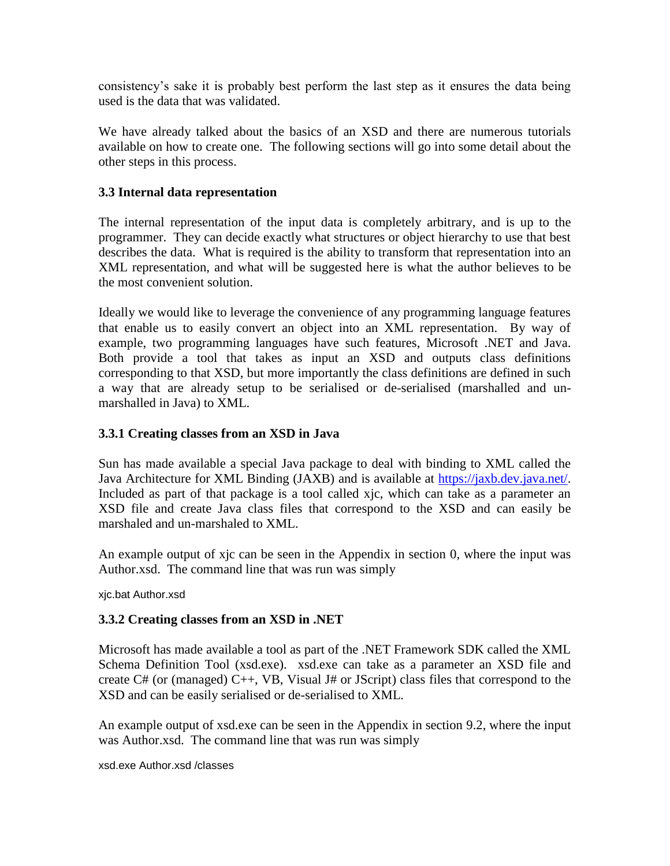consistency's sake it is probably best perform the last step as it ensures the data being used is the data that was validated.

We have already talked about the basics of an XSD and there are numerous tutorials available on how to create one. The following sections will go into some detail about the other steps in this process.

# **3.3 Internal data representation**

The internal representation of the input data is completely arbitrary, and is up to the programmer. They can decide exactly what structures or object hierarchy to use that best describes the data. What is required is the ability to transform that representation into an XML representation, and what will be suggested here is what the author believes to be the most convenient solution.

Ideally we would like to leverage the convenience of any programming language features that enable us to easily convert an object into an XML representation. By way of example, two programming languages have such features, Microsoft .NET and Java. Both provide a tool that takes as input an XSD and outputs class definitions corresponding to that XSD, but more importantly the class definitions are defined in such a way that are already setup to be serialised or de-serialised (marshalled and unmarshalled in Java) to XML.

## **3.3.1 Creating classes from an XSD in Java**

Sun has made available a special Java package to deal with binding to XML called the Java Architecture for XML Binding (JAXB) and is available at [https://jaxb.dev.java.net/.](https://jaxb.dev.java.net/) Included as part of that package is a tool called xjc, which can take as a parameter an XSD file and create Java class files that correspond to the XSD and can easily be marshaled and un-marshaled to XML.

An example output of xjc can be seen in the Appendix in section [0,](#page-11-0) where the input was Author.xsd. The command line that was run was simply

xjc.bat Author.xsd

### **3.3.2 Creating classes from an XSD in .NET**

Microsoft has made available a tool as part of the .NET Framework SDK called the XML Schema Definition Tool (xsd.exe). xsd.exe can take as a parameter an XSD file and create C# (or (managed) C++, VB, Visual J# or JScript) class files that correspond to the XSD and can be easily serialised or de-serialised to XML.

An example output of xsd.exe can be seen in the Appendix in section [9.2,](#page-14-0) where the input was Author.xsd. The command line that was run was simply

xsd.exe Author.xsd /classes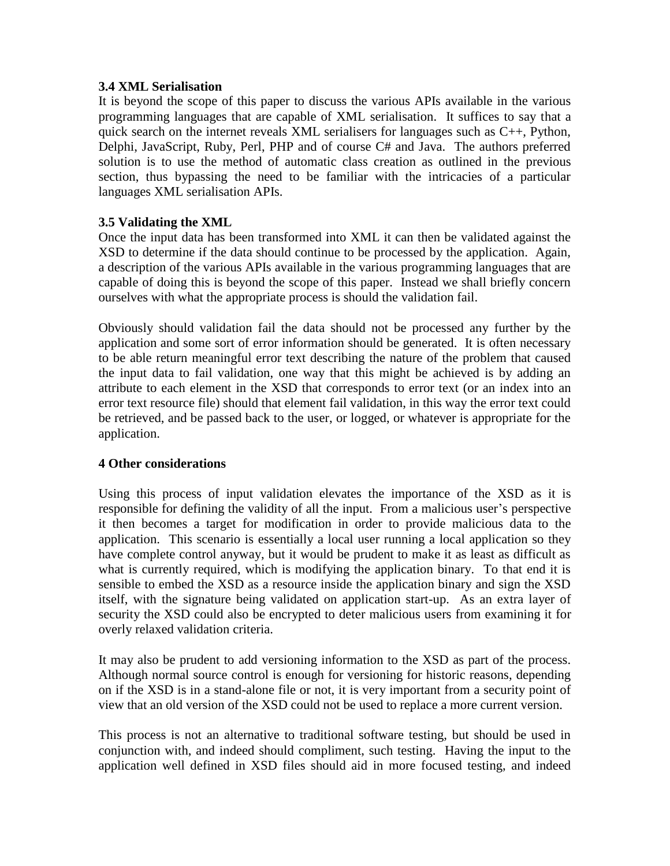### **3.4 XML Serialisation**

It is beyond the scope of this paper to discuss the various APIs available in the various programming languages that are capable of XML serialisation. It suffices to say that a quick search on the internet reveals XML serialisers for languages such as  $C_{++}$ , Python, Delphi, JavaScript, Ruby, Perl, PHP and of course C# and Java. The authors preferred solution is to use the method of automatic class creation as outlined in the previous section, thus bypassing the need to be familiar with the intricacies of a particular languages XML serialisation APIs.

# **3.5 Validating the XML**

Once the input data has been transformed into XML it can then be validated against the XSD to determine if the data should continue to be processed by the application. Again, a description of the various APIs available in the various programming languages that are capable of doing this is beyond the scope of this paper. Instead we shall briefly concern ourselves with what the appropriate process is should the validation fail.

Obviously should validation fail the data should not be processed any further by the application and some sort of error information should be generated. It is often necessary to be able return meaningful error text describing the nature of the problem that caused the input data to fail validation, one way that this might be achieved is by adding an attribute to each element in the XSD that corresponds to error text (or an index into an error text resource file) should that element fail validation, in this way the error text could be retrieved, and be passed back to the user, or logged, or whatever is appropriate for the application.

### **4 Other considerations**

Using this process of input validation elevates the importance of the XSD as it is responsible for defining the validity of all the input. From a malicious user's perspective it then becomes a target for modification in order to provide malicious data to the application. This scenario is essentially a local user running a local application so they have complete control anyway, but it would be prudent to make it as least as difficult as what is currently required, which is modifying the application binary. To that end it is sensible to embed the XSD as a resource inside the application binary and sign the XSD itself, with the signature being validated on application start-up. As an extra layer of security the XSD could also be encrypted to deter malicious users from examining it for overly relaxed validation criteria.

It may also be prudent to add versioning information to the XSD as part of the process. Although normal source control is enough for versioning for historic reasons, depending on if the XSD is in a stand-alone file or not, it is very important from a security point of view that an old version of the XSD could not be used to replace a more current version.

This process is not an alternative to traditional software testing, but should be used in conjunction with, and indeed should compliment, such testing. Having the input to the application well defined in XSD files should aid in more focused testing, and indeed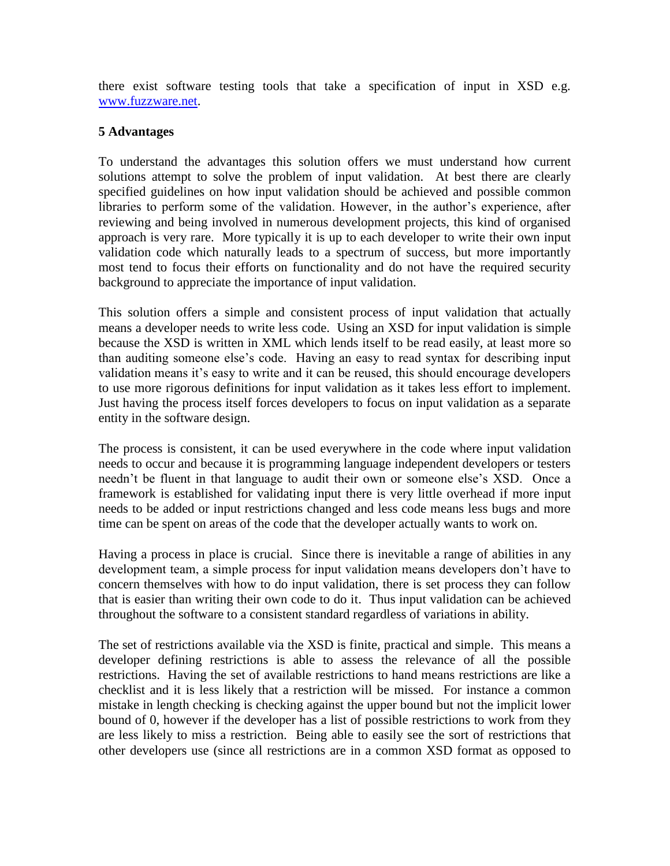there exist software testing tools that take a specification of input in XSD e.g. [www.fuzzware.net.](http://www.fuzzware.net/)

## **5 Advantages**

To understand the advantages this solution offers we must understand how current solutions attempt to solve the problem of input validation. At best there are clearly specified guidelines on how input validation should be achieved and possible common libraries to perform some of the validation. However, in the author's experience, after reviewing and being involved in numerous development projects, this kind of organised approach is very rare. More typically it is up to each developer to write their own input validation code which naturally leads to a spectrum of success, but more importantly most tend to focus their efforts on functionality and do not have the required security background to appreciate the importance of input validation.

This solution offers a simple and consistent process of input validation that actually means a developer needs to write less code. Using an XSD for input validation is simple because the XSD is written in XML which lends itself to be read easily, at least more so than auditing someone else's code. Having an easy to read syntax for describing input validation means it's easy to write and it can be reused, this should encourage developers to use more rigorous definitions for input validation as it takes less effort to implement. Just having the process itself forces developers to focus on input validation as a separate entity in the software design.

The process is consistent, it can be used everywhere in the code where input validation needs to occur and because it is programming language independent developers or testers needn't be fluent in that language to audit their own or someone else's XSD. Once a framework is established for validating input there is very little overhead if more input needs to be added or input restrictions changed and less code means less bugs and more time can be spent on areas of the code that the developer actually wants to work on.

Having a process in place is crucial. Since there is inevitable a range of abilities in any development team, a simple process for input validation means developers don't have to concern themselves with how to do input validation, there is set process they can follow that is easier than writing their own code to do it. Thus input validation can be achieved throughout the software to a consistent standard regardless of variations in ability.

The set of restrictions available via the XSD is finite, practical and simple. This means a developer defining restrictions is able to assess the relevance of all the possible restrictions. Having the set of available restrictions to hand means restrictions are like a checklist and it is less likely that a restriction will be missed. For instance a common mistake in length checking is checking against the upper bound but not the implicit lower bound of 0, however if the developer has a list of possible restrictions to work from they are less likely to miss a restriction. Being able to easily see the sort of restrictions that other developers use (since all restrictions are in a common XSD format as opposed to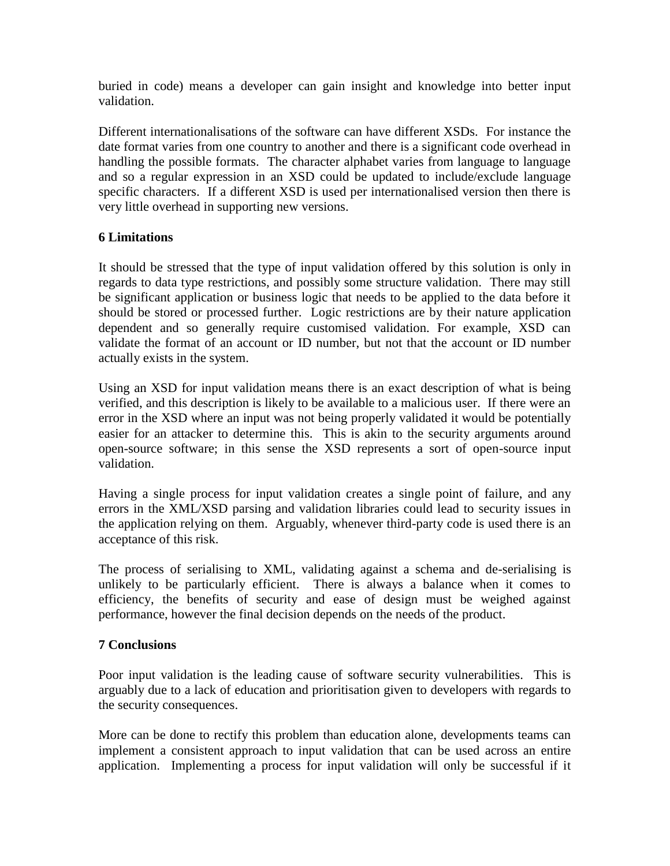buried in code) means a developer can gain insight and knowledge into better input validation.

Different internationalisations of the software can have different XSDs. For instance the date format varies from one country to another and there is a significant code overhead in handling the possible formats. The character alphabet varies from language to language and so a regular expression in an XSD could be updated to include/exclude language specific characters. If a different XSD is used per internationalised version then there is very little overhead in supporting new versions.

## **6 Limitations**

It should be stressed that the type of input validation offered by this solution is only in regards to data type restrictions, and possibly some structure validation. There may still be significant application or business logic that needs to be applied to the data before it should be stored or processed further. Logic restrictions are by their nature application dependent and so generally require customised validation. For example, XSD can validate the format of an account or ID number, but not that the account or ID number actually exists in the system.

Using an XSD for input validation means there is an exact description of what is being verified, and this description is likely to be available to a malicious user. If there were an error in the XSD where an input was not being properly validated it would be potentially easier for an attacker to determine this. This is akin to the security arguments around open-source software; in this sense the XSD represents a sort of open-source input validation.

Having a single process for input validation creates a single point of failure, and any errors in the XML/XSD parsing and validation libraries could lead to security issues in the application relying on them. Arguably, whenever third-party code is used there is an acceptance of this risk.

The process of serialising to XML, validating against a schema and de-serialising is unlikely to be particularly efficient. There is always a balance when it comes to efficiency, the benefits of security and ease of design must be weighed against performance, however the final decision depends on the needs of the product.

### **7 Conclusions**

Poor input validation is the leading cause of software security vulnerabilities. This is arguably due to a lack of education and prioritisation given to developers with regards to the security consequences.

More can be done to rectify this problem than education alone, developments teams can implement a consistent approach to input validation that can be used across an entire application. Implementing a process for input validation will only be successful if it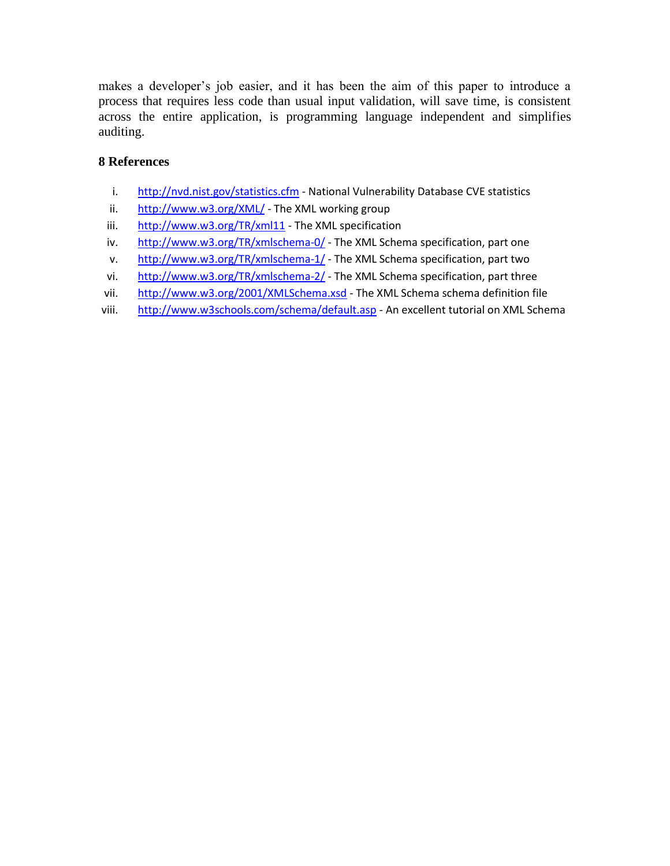makes a developer's job easier, and it has been the aim of this paper to introduce a process that requires less code than usual input validation, will save time, is consistent across the entire application, is programming language independent and simplifies auditing.

# **8 References**

- i. <http://nvd.nist.gov/statistics.cfm> National Vulnerability Database CVE statistics
- ii. <http://www.w3.org/XML/> The XML working group
- iii. <http://www.w3.org/TR/xml11> The XML specification
- iv. <http://www.w3.org/TR/xmlschema-0/> The XML Schema specification, part one
- v. <http://www.w3.org/TR/xmlschema-1/> The XML Schema specification, part two
- vi. <http://www.w3.org/TR/xmlschema-2/> The XML Schema specification, part three
- vii. <http://www.w3.org/2001/XMLSchema.xsd> The XML Schema schema definition file
- viii. <http://www.w3schools.com/schema/default.asp> An excellent tutorial on XML Schema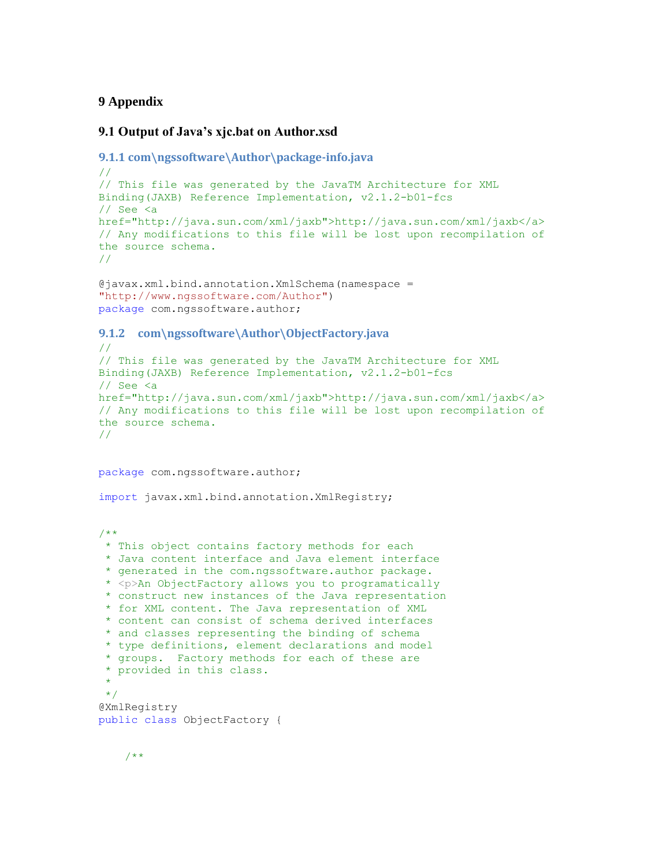#### <span id="page-11-0"></span>**9 Appendix**

#### **9.1 Output of Java's xjc.bat on Author.xsd**

```
9.1.1 com\ngssoftware\Author\package-info.java
//
// This file was generated by the JavaTM Architecture for XML 
Binding(JAXB) Reference Implementation, v2.1.2-b01-fcs 
// See <a 
href="http://java.sun.com/xml/jaxb">http://java.sun.com/xml/jaxb</a>
// Any modifications to this file will be lost upon recompilation of 
the source schema. 
//
```

```
@javax.xml.bind.annotation.XmlSchema(namespace = 
"http://www.ngssoftware.com/Author")
package com.ngssoftware.author;
```
#### **9.1.2 com\ngssoftware\Author\ObjectFactory.java**

```
//
// This file was generated by the JavaTM Architecture for XML 
Binding(JAXB) Reference Implementation, v2.1.2-b01-fcs 
// See <a 
href="http://java.sun.com/xml/jaxb">http://java.sun.com/xml/jaxb</a> 
// Any modifications to this file will be lost upon recompilation of 
the source schema. 
//
```
package com.ngssoftware.author;

import javax.xml.bind.annotation.XmlRegistry;

/\*\*

```
* This object contains factory methods for each 
 * Java content interface and Java element interface 
 * generated in the com.ngssoftware.author package. 
 * <p>An ObjectFactory allows you to programatically 
 * construct new instances of the Java representation 
 * for XML content. The Java representation of XML 
 * content can consist of schema derived interfaces 
 * and classes representing the binding of schema 
 * type definitions, element declarations and model 
 * groups. Factory methods for each of these are 
 * provided in this class.
 * 
 */
@XmlRegistry
public class ObjectFactory {
```

$$
/ * *
$$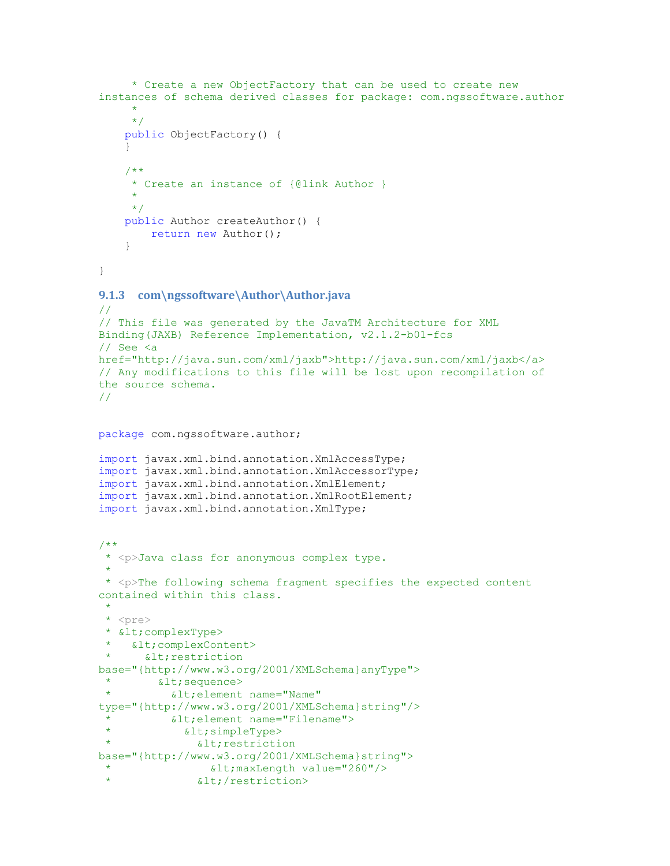```
 * Create a new ObjectFactory that can be used to create new 
instances of schema derived classes for package: com.ngssoftware.author
\qquad \qquad \star */
     public ObjectFactory() {
     }
     /**
      * Create an instance of {@link Author }
\qquad \qquad \star */
     public Author createAuthor() {
        return new Author();
     }
}
9.1.3 com\ngssoftware\Author\Author.java
//
// This file was generated by the JavaTM Architecture for XML 
Binding(JAXB) Reference Implementation, v2.1.2-b01-fcs 
// See <a 
href="http://java.sun.com/xml/jaxb">http://java.sun.com/xml/jaxb</a> 
// Any modifications to this file will be lost upon recompilation of 
the source schema. 
//
package com.ngssoftware.author;
import javax.xml.bind.annotation.XmlAccessType;
import javax.xml.bind.annotation.XmlAccessorType;
import javax.xml.bind.annotation.XmlElement;
import javax.xml.bind.annotation.XmlRootElement;
import javax.xml.bind.annotation.XmlType;
/**
 * <p>Java class for anonymous complex type.
 * 
 * <p>The following schema fragment specifies the expected content 
contained within this class.
 * 
 * <pre>
 * < complexType>
   < complexContent>
     < restriction
base="{http://www.w3.org/2001/XMLSchema}anyType">
   <: sequence>
 * < alt; element name="Name"
type="{http://www.w3.org/2001/XMLSchema}string"/>
           < element name="Filename">
             <; simpleType>
               < restriction
base="{http://www.w3.org/2001/XMLSchema}string">
                 <it; maxLength value="260"/>
               </restriction>
```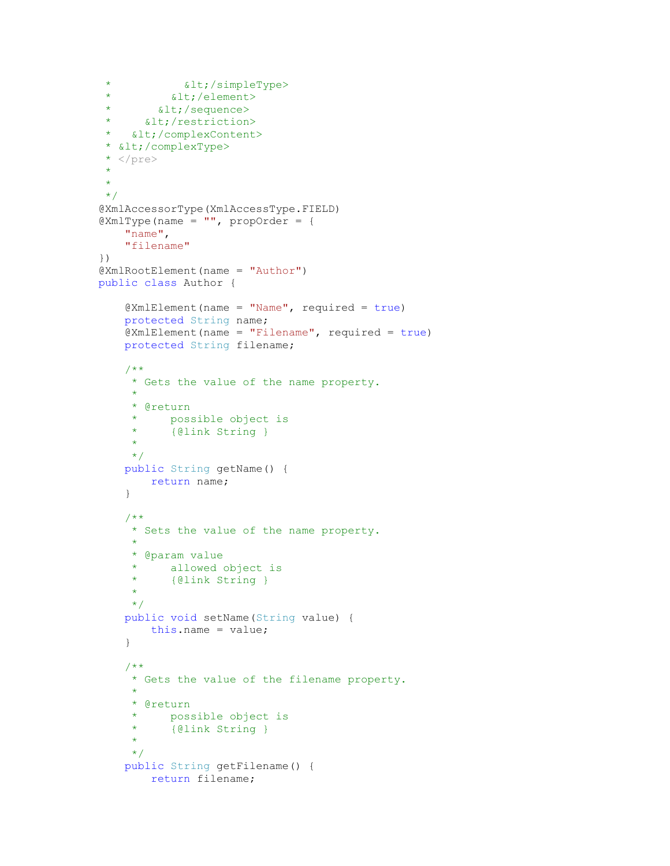```
* < < < < < < < < < < < < < < < < < < < < < < < < < < < < < < < < < < < < </element>
 * < < / sequence>
 * <1 (restriction)
* </complexContent>
* </complexType>
 \star </pre>
 * 
 * 
 */
@XmlAccessorType(XmlAccessType.FIELD)
\texttt{QXMLType}(name = "", propOrder = {
     "name",
     "filename"
})
@XmlRootElement(name = "Author")
public class Author {
    QXm1Element(name = "Name", required = true) protected String name;
     @XmlElement(name = "Filename", required = true)
     protected String filename;
     /**
     * Gets the value of the name property.
     \star * @return
      * possible object is
      * {@link String }
\qquad \qquad \star */
     public String getName() {
        return name;
     }
     /**
     * Sets the value of the name property.
\star * @param value
      * allowed object is
      * {@link String }
     \star */
     public void setName(String value) {
        this.name = value;
     }
     /**
      * Gets the value of the filename property.
\qquad \qquad \star * @return
        possible object is
      * {@link String }
     \star */
     public String getFilename() {
        return filename;
```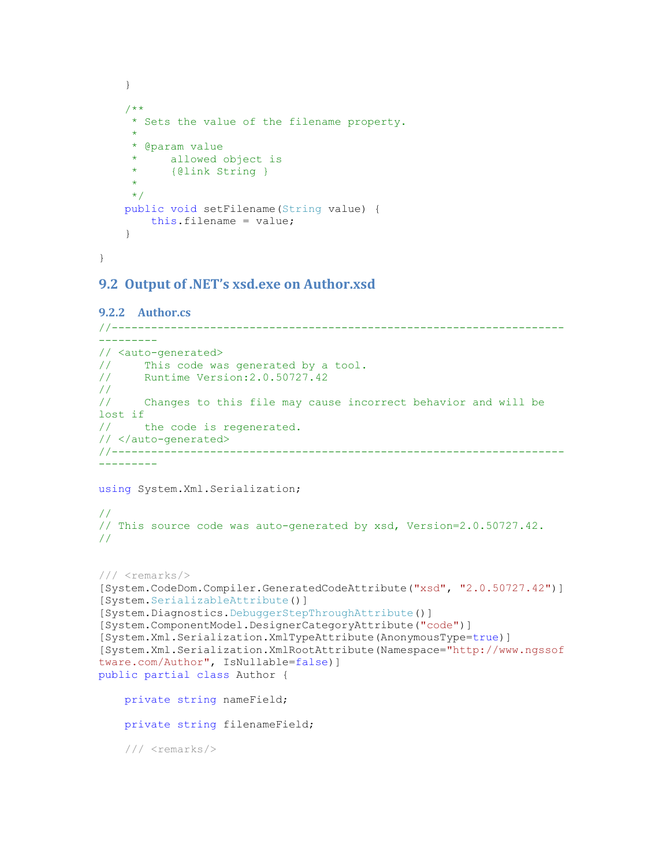```
 }
     /**
      * Sets the value of the filename property.
\qquad \qquad \star * @param value
          allowed object is
      * {@link String }
\qquad \qquad \star */
     public void setFilename(String value) {
        this.filename = value;
     }
```
<span id="page-14-0"></span>}

#### **9.2 Output of .NET's xsd.exe on Author.xsd**

```
9.2.2 Author.cs
//---------------------------------------------------------------------
---------
// <auto-generated>
// This code was generated by a tool.
// Runtime Version:2.0.50727.42
//
// Changes to this file may cause incorrect behavior and will be 
lost if
// the code is regenerated.
// </auto-generated>
//---------------------------------------------------------------------
---------
using System.Xml.Serialization;
// 
// This source code was auto-generated by xsd, Version=2.0.50727.42.
// 
/// <remarks/>
[System.CodeDom.Compiler.GeneratedCodeAttribute("xsd", "2.0.50727.42")]
[System.SerializableAttribute()]
[System.Diagnostics.DebuggerStepThroughAttribute()]
[System.ComponentModel.DesignerCategoryAttribute("code")]
[System.Xml.Serialization.XmlTypeAttribute(AnonymousType=true)]
[System.Xml.Serialization.XmlRootAttribute(Namespace="http://www.ngssof
tware.com/Author", IsNullable=false)]
public partial class Author {
     private string nameField;
     private string filenameField;
     /// <remarks/>
```